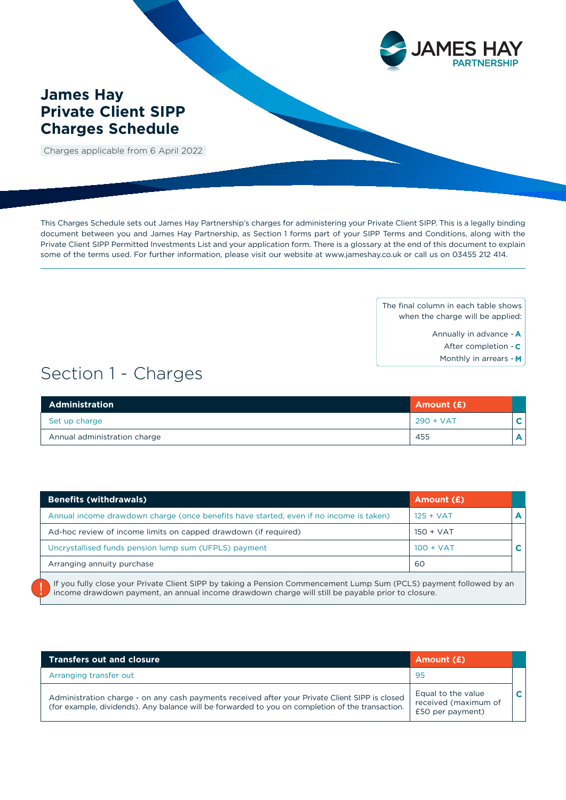

# **James Hay Private Client SIPP Charges Schedule**

Charges applicable from 6 April 2022

This Charges Schedule sets out James Hay Partnership's charges for administering your Private Client SIPP. This is a legally binding document between you and James Hay Partnership, as Section 1 forms part of your SIPP Terms and Conditions, along with the Private Client SIPP Permitted Investments List and your application form. There is a glossary at the end of this document to explain some of the terms used. For further information, please visit our website at www.jameshay.co.uk or call us on 03455 212 414.

> The final column in each table shows when the charge will be applied:

- Annually in advance **A**
	- After completion **C**
	- Monthly in arrears **M**

# Section 1 - Charges

| Administration               | Amount (£)  |   |
|------------------------------|-------------|---|
| Set up charge                | $290 + VAT$ | v |
| Annual administration charge | 455         | Α |

| <b>Benefits (withdrawals)</b>                                                          | Amount (£)  |  |
|----------------------------------------------------------------------------------------|-------------|--|
| Annual income drawdown charge (once benefits have started, even if no income is taken) | $125 + VAT$ |  |
| Ad-hoc review of income limits on capped drawdown (if required)                        | $150 + VAT$ |  |
| Uncrystallised funds pension lump sum (UFPLS) payment                                  | $100 + VAT$ |  |
| Arranging annuity purchase                                                             | 60          |  |
|                                                                                        |             |  |

If you fully close your Private Client SIPP by taking a Pension Commencement Lump Sum (PCLS) payment followed by an income drawdown payment, an annual income drawdown charge will still be payable prior to closure.

| <b>Transfers out and closure</b>                                                                                                                                                                   | Amount (£)                                                     |  |
|----------------------------------------------------------------------------------------------------------------------------------------------------------------------------------------------------|----------------------------------------------------------------|--|
| Arranging transfer out                                                                                                                                                                             | -95                                                            |  |
| Administration charge - on any cash payments received after your Private Client SIPP is closed<br>(for example, dividends). Any balance will be forwarded to you on completion of the transaction. | Equal to the value<br>received (maximum of<br>£50 per payment) |  |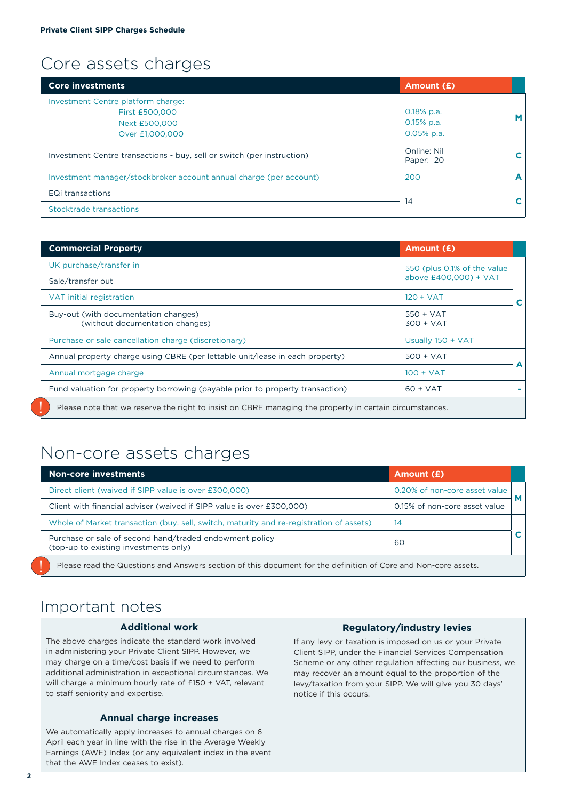# Core assets charges

| <b>Core investments</b>                                                                  | Amount (£)                                    |   |
|------------------------------------------------------------------------------------------|-----------------------------------------------|---|
| Investment Centre platform charge:<br>First £500,000<br>Next £500,000<br>Over £1,000,000 | $0.18\%$ p.a.<br>$0.15%$ p.a.<br>$0.05%$ p.a. | M |
| Investment Centre transactions - buy, sell or switch (per instruction)                   | Online: Nil<br>Paper: 20                      | C |
| Investment manager/stockbroker account annual charge (per account)                       | 200                                           | A |
| EQi transactions                                                                         |                                               | С |
| Stocktrade transactions                                                                  | 14                                            |   |

| <b>Commercial Property</b>                                                                              | <b>Amount (£)</b>           |                 |
|---------------------------------------------------------------------------------------------------------|-----------------------------|-----------------|
| UK purchase/transfer in                                                                                 | 550 (plus 0.1% of the value |                 |
| Sale/transfer out                                                                                       | above £400,000) + VAT       |                 |
| VAT initial registration                                                                                | $120 + VAT$                 | C               |
| Buy-out (with documentation changes)<br>(without documentation changes)                                 | $550 + VAT$<br>$300 + VAT$  |                 |
| Purchase or sale cancellation charge (discretionary)                                                    | Usually 150 + VAT           |                 |
| Annual property charge using CBRE (per lettable unit/lease in each property)                            | $500 + VAT$                 |                 |
| Annual mortgage charge                                                                                  | $100 + VAT$                 | A               |
| Fund valuation for property borrowing (payable prior to property transaction)                           | $60 + VAT$                  | <b>Contract</b> |
| Please note that we reserve the right to insist on CBRE managing the property in certain circumstances. |                             |                 |

# Non-core assets charges

| <b>Non-core investments</b>                                                                                    | Amount (£)                    |  |
|----------------------------------------------------------------------------------------------------------------|-------------------------------|--|
| Direct client (waived if SIPP value is over £300,000)                                                          | 0.20% of non-core asset value |  |
| Client with financial adviser (waived if SIPP value is over £300,000)                                          | 0.15% of non-core asset value |  |
| Whole of Market transaction (buy, sell, switch, maturity and re-registration of assets)                        | 14                            |  |
| Purchase or sale of second hand/traded endowment policy<br>(top-up to existing investments only)               | 60                            |  |
| Please read the Questions and Answers section of this document for the definition of Core and Non-core assets. |                               |  |

# Important notes

#### **Additional work**

The above charges indicate the standard work involved in administering your Private Client SIPP. However, we may charge on a time/cost basis if we need to perform additional administration in exceptional circumstances. We will charge a minimum hourly rate of £150 + VAT, relevant to staff seniority and expertise.

### **Annual charge increases**

We automatically apply increases to annual charges on 6 April each year in line with the rise in the Average Weekly Earnings (AWE) Index (or any equivalent index in the event that the AWE Index ceases to exist).

### **Regulatory/industry levies**

If any levy or taxation is imposed on us or your Private Client SIPP, under the Financial Services Compensation Scheme or any other regulation affecting our business, we may recover an amount equal to the proportion of the levy/taxation from your SIPP. We will give you 30 days' notice if this occurs.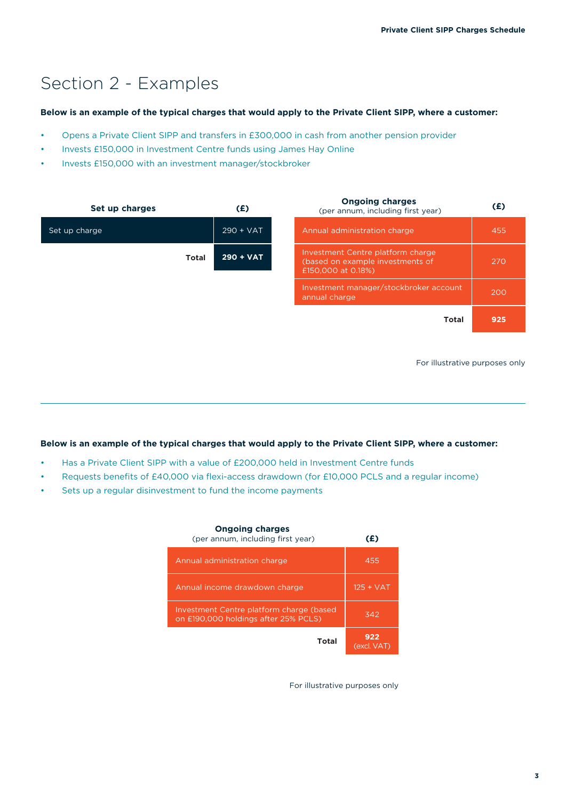# Section 2 - Examples

### **Below is an example of the typical charges that would apply to the Private Client SIPP, where a customer:**

- Opens a Private Client SIPP and transfers in £300,000 in cash from another pension provider
- Invests £150,000 in Investment Centre funds using James Hay Online
- Invests £150,000 with an investment manager/stockbroker

| Set up charges | (E)         | <b>Ongoing charges</b><br>(per annum, including first year)                                 | (E) |
|----------------|-------------|---------------------------------------------------------------------------------------------|-----|
| Set up charge  | $290 + VAT$ | Annual administration charge                                                                | 455 |
| <b>Total</b>   | $290 + VAT$ | Investment Centre platform charge<br>(based on example investments of<br>£150,000 at 0.18%) | 270 |
|                |             | Investment manager/stockbroker account<br>annual charge                                     | 200 |
|                |             | <b>Total</b>                                                                                | 925 |
|                |             |                                                                                             |     |

For illustrative purposes only

## **Below is an example of the typical charges that would apply to the Private Client SIPP, where a customer:**

- Has a Private Client SIPP with a value of £200,000 held in Investment Centre funds
- Requests benefits of £40,000 via flexi-access drawdown (for £10,000 PCLS and a regular income)
- Sets up a regular disinvestment to fund the income payments

| <b>Ongoing charges</b><br>(per annum, including first year)                      | (£)                |
|----------------------------------------------------------------------------------|--------------------|
| Annual administration charge                                                     | 455                |
| Annual income drawdown charge                                                    | $125 + VAT$        |
| Investment Centre platform charge (based<br>on £190,000 holdings after 25% PCLS) | 342                |
| Total                                                                            | 922<br>(excl. VAT) |

For illustrative purposes only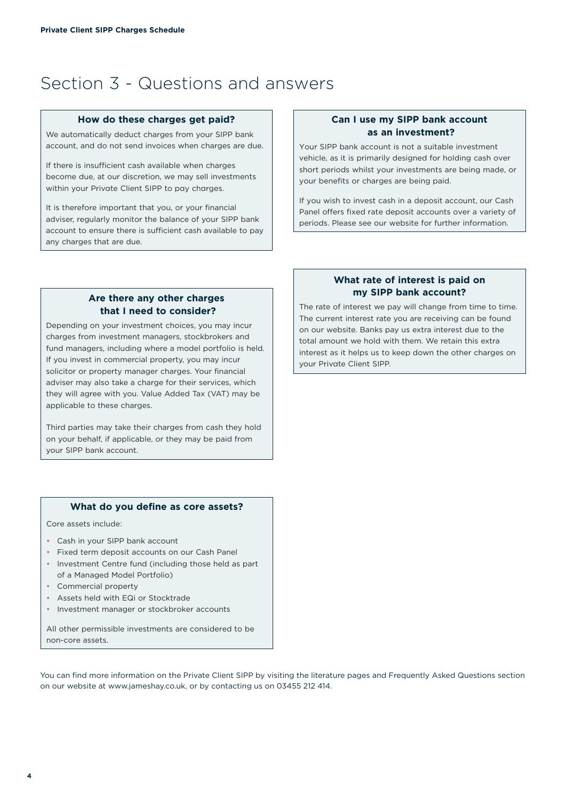# Section 3 - Questions and answers

#### **How do these charges get paid?**

We automatically deduct charges from your SIPP bank account, and do not send invoices when charges are due.

If there is insufficient cash available when charges become due, at our discretion, we may sell investments within your Private Client SIPP to pay charges.

It is therefore important that you, or your financial adviser, regularly monitor the balance of your SIPP bank account to ensure there is sufficient cash available to pay any charges that are due.

### **Can I use my SIPP bank account as an investment?**

Your SIPP bank account is not a suitable investment vehicle, as it is primarily designed for holding cash over short periods whilst your investments are being made, or your benefits or charges are being paid.

If you wish to invest cash in a deposit account, our Cash Panel offers fixed rate deposit accounts over a variety of periods. Please see our website for further information.

## **Are there any other charges that I need to consider?**

Depending on your investment choices, you may incur charges from investment managers, stockbrokers and fund managers, including where a model portfolio is held. If you invest in commercial property, you may incur solicitor or property manager charges. Your financial adviser may also take a charge for their services, which they will agree with you. Value Added Tax (VAT) may be applicable to these charges.

Third parties may take their charges from cash they hold on your behalf, if applicable, or they may be paid from your SIPP bank account.

### **What do you define as core assets?**

Core assets include:

- Cash in your SIPP bank account
- Fixed term deposit accounts on our Cash Panel
- Investment Centre fund (including those held as part of a Managed Model Portfolio)
- Commercial property
- Assets held with EQi or Stocktrade
- Investment manager or stockbroker accounts

All other permissible investments are considered to be non-core assets.

You can find more information on the Private Client SIPP by visiting the literature pages and Frequently Asked Questions section on our website at www.jameshay.co.uk, or by contacting us on 03455 212 414.

### **What rate of interest is paid on my SIPP bank account?**

The rate of interest we pay will change from time to time. The current interest rate you are receiving can be found on our website. Banks pay us extra interest due to the total amount we hold with them. We retain this extra interest as it helps us to keep down the other charges on your Private Client SIPP.